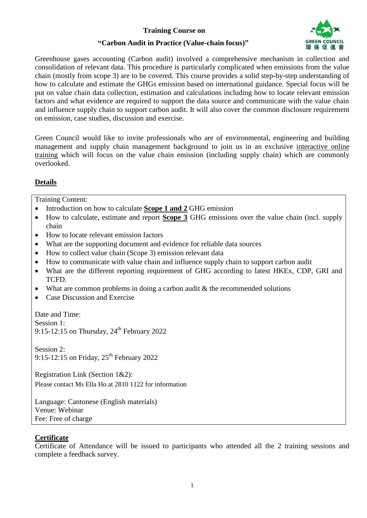# **Training Course on**



# **"Carbon Audit in Practice (Value-chain focus)"**

Greenhouse gases accounting (Carbon audit) involved a comprehensive mechanism in collection and consolidation of relevant data. This procedure is particularly complicated when emissions from the value chain (mostly from scope 3) are to be covered. This course provides a solid step-by-step understanding of how to calculate and estimate the GHGs emission based on international guidance. Special focus will be put on value chain data collection, estimation and calculations including how to locate relevant emission factors and what evidence are required to support the data source and communicate with the value chain and influence supply chain to support carbon audit. It will also cover the common disclosure requirement on emission, case studies, discussion and exercise.

Green Council would like to invite professionals who are of environmental, engineering and building management and supply chain management background to join us in an exclusive interactive online training which will focus on the value chain emission (including supply chain) which are commonly overlooked.

# **Details**

Training Content:

- Introduction on how to calculate **Scope 1 and 2** GHG emission
- How to calculate, estimate and report **Scope 3** GHG emissions over the value chain (incl. supply chain
- How to locate relevant emission factors
- What are the supporting document and evidence for reliable data sources
- How to collect value chain (Scope 3) emission relevant data
- How to communicate with value chain and influence supply chain to support carbon audit
- What are the different reporting requirement of GHG according to latest HKEx, CDP, GRI and TCFD.
- What are common problems in doing a carbon audit  $&$  the recommended solutions
- Case Discussion and Exercise

Date and Time: Session 1: 9:15-12:15 on Thursday,  $24^{th}$  February 2022

Session 2: 9:15-12:15 on Friday,  $25<sup>th</sup>$  February 2022

Registration Link (Section 1&2): Please contact Ms Ella Ho at 2810 1122 for information

Language: Cantonese (English materials) Venue: Webinar Fee: Free of charge

### **Certificate**

Certificate of Attendance will be issued to participants who attended all the 2 training sessions and complete a feedback survey.